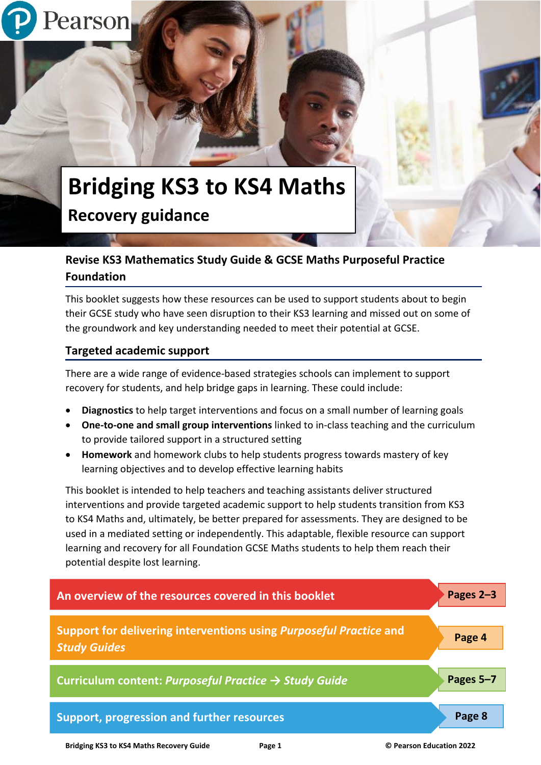# **Bridging KS3 to KS4 Maths Recovery guidance**

# **Revise KS3 Mathematics Study Guide & GCSE Maths Purposeful Practice Foundation**

This booklet suggests how these resources can be used to support students about to begin their GCSE study who have seen disruption to their KS3 learning and missed out on some of the groundwork and key understanding needed to meet their potential at GCSE.

# **Targeted academic support**

Pearson

There are a wide range of evidence-based strategies schools can implement to support recovery for students, and help bridge gaps in learning. These could include:

- **Diagnostics** to help target interventions and focus on a small number of learning goals
- **One-to-one and small group interventions** linked to in-class teaching and the curriculum to provide tailored support in a structured setting
- **Homework** and homework clubs to help students progress towards mastery of key learning objectives and to develop effective learning habits

This booklet is intended to help teachers and teaching assistants deliver structured interventions and provide targeted academic support to help students transition from KS3 to KS4 Maths and, ultimately, be better prepared for assessments. They are designed to be used in a mediated setting or independently. This adaptable, flexible resource can support learning and recovery for all Foundation GCSE Maths students to help them reach their potential despite lost learning.



**Bridging KS3 to KS4 Maths Recovery Guide Page 1 © Pearson Education 2022**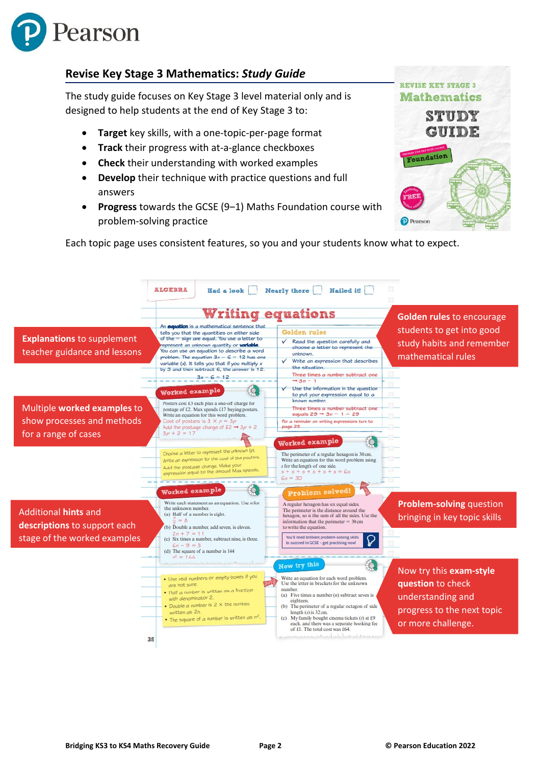

# **Revise Key Stage 3 Mathematics:** *Study Guide*

The study guide focuses on Key Stage 3 level material only and is designed to help students at the end of Key Stage 3 to:

- **Target** key skills, with a one-topic-per-page format
- **Track** their progress with at-a-glance checkboxes
- **Check** their understanding with worked examples
- **Develop** their technique with practice questions and full answers
- **Progress** towards the GCSE (9‒1) Maths Foundation course with problem-solving practice



Each topic page uses consistent features, so you and your students know what to expect.

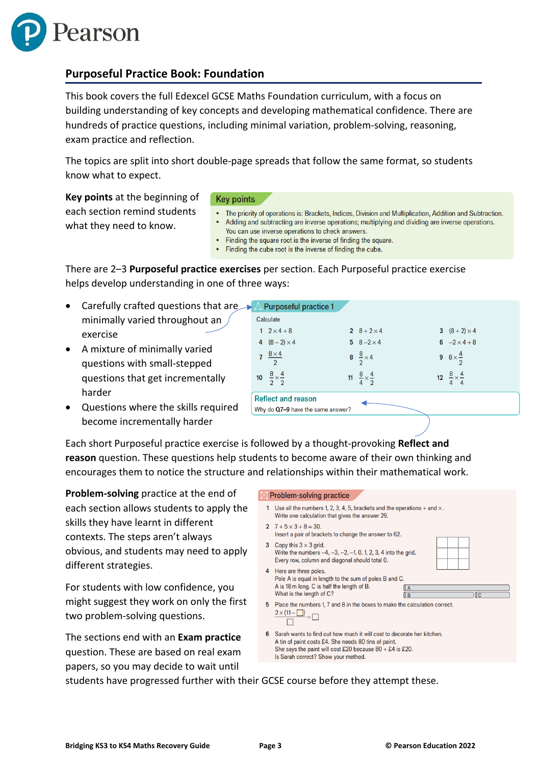

### **Purposeful Practice Book: Foundation**

This book covers the full Edexcel GCSE Maths Foundation curriculum, with a focus on building understanding of key concepts and developing mathematical confidence. There are hundreds of practice questions, including minimal variation, problem-solving, reasoning, exam practice and reflection.

The topics are split into short double-page spreads that follow the same format, so students know what to expect.

**Key points** at the beginning of each section remind students what they need to know.

#### **Key points**

- The priority of operations is: Brackets, Indices, Division and Multiplication, Addition and Subtraction. Adding and subtracting are inverse operations; multiplying and dividing are inverse operations. You can use inverse operations to check answers.
- Finding the square root is the inverse of finding the square.
- $\bullet$ Finding the cube root is the inverse of finding the cube.

There are 2–3 **Purposeful practice exercises** per section. Each Purposeful practice exercise helps develop understanding in one of three ways:

- Carefully crafted questions that are minimally varied throughout an exercise
- A mixture of minimally varied questions with small-stepped questions that get incrementally harder
- Questions where the skills required become incrementally harder

| $\triangle$ Purposeful practice 1                              |                                     |  |                                     |  |                                     |
|----------------------------------------------------------------|-------------------------------------|--|-------------------------------------|--|-------------------------------------|
| Calculate                                                      |                                     |  |                                     |  |                                     |
|                                                                | 1 $2 \times 4 + 8$                  |  | 2 $8 + 2 \times 4$                  |  | 3 $(8+2) \times 4$                  |
|                                                                | 4 $(8-2) \times 4$                  |  | 5 $8 - 2 \times 4$                  |  | 6 $-2 \times 4 + 8$                 |
|                                                                | 7 $\frac{8\times4}{2}$              |  | 8 $\frac{8}{2} \times 4$            |  | 9 $8 \times \frac{4}{2}$            |
|                                                                | 10 $\frac{8}{2} \times \frac{4}{2}$ |  | 11 $\frac{8}{4} \times \frac{4}{2}$ |  | 12 $\frac{8}{4} \times \frac{4}{4}$ |
| <b>Reflect and reason</b><br>Why do Q7-9 have the same answer? |                                     |  |                                     |  |                                     |
|                                                                |                                     |  |                                     |  |                                     |

Each short Purposeful practice exercise is followed by a thought-provoking **Reflect and reason** question. These questions help students to become aware of their own thinking and encourages them to notice the structure and relationships within their mathematical work.

**Problem-solving** practice at the end of each section allows students to apply the skills they have learnt in different contexts. The steps aren't always obvious, and students may need to apply different strategies.

For students with low confidence, you might suggest they work on only the first two problem-solving questions.

The sections end with an **Exam practice** question. These are based on real exam papers, so you may decide to wait until

#### **Problem-solving practice** 1 Use all the numbers 1, 2, 3, 4, 5, brackets and the operations  $+$  and  $\times$ . Write one calculation that gives the answer 29. 2  $7 + 5 \times 3 + 8 = 30$ Insert a pair of brackets to change the answer to 62. 3 Copy this  $3 \times 3$  grid. Write the numbers  $-4, -3, -2, -1, 0, 1, 2, 3, 4$  into the grid. Every row, column and diagonal should total 0. 4 Here are three poles. Pole A is equal in length to the sum of poles B and C. A is 18 m long. C is half the length of B.  $^{\circ}$ What is the length of C?  $\overline{\mathfrak{g}}$  $\sqrt{R}$ 5 Place the numbers 1, 7 and 8 in the boxes to make the calculation correct.  $\frac{2 \times (11 - \Box)}{\Box} = \Box$  $\Box$ 6 Sarah wants to find out how much it will cost to decorate her kitchen. A tin of paint costs £4. She needs 80 tins of paint. She says the paint will cost £20 because  $80 \div £4$  is £20. Is Sarah correct? Show your method.

students have progressed further with their GCSE course before they attempt these.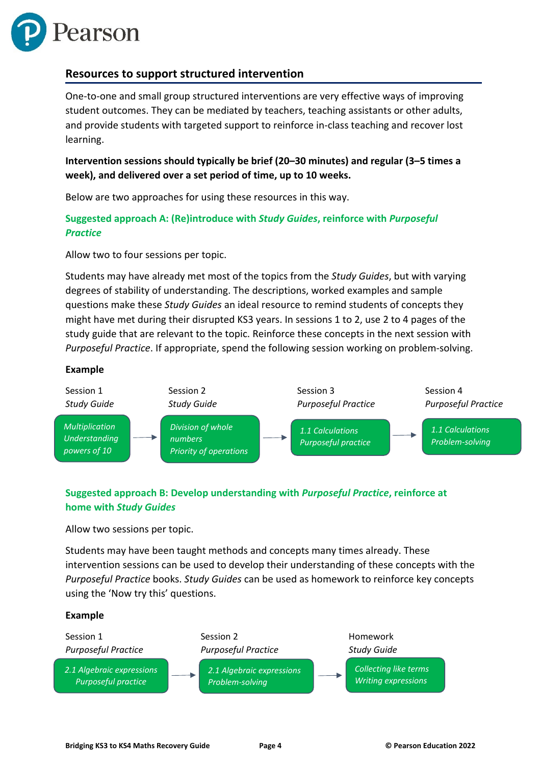

#### **Resources to support structured intervention**

One-to-one and small group structured interventions are very effective ways of improving student outcomes. They can be mediated by teachers, teaching assistants or other adults, and provide students with targeted support to reinforce in-class teaching and recover lost learning.

**Intervention sessions should typically be brief (20–30 minutes) and regular (3–5 times a week), and delivered over a set period of time, up to 10 weeks.** 

Below are two approaches for using these resources in this way.

#### **Suggested approach A: (Re)introduce with** *Study Guides***, reinforce with** *Purposeful Practice*

Allow two to four sessions per topic.

Students may have already met most of the topics from the *Study Guides*, but with varying degrees of stability of understanding. The descriptions, worked examples and sample questions make these *Study Guides* an ideal resource to remind students of concepts they might have met during their disrupted KS3 years. In sessions 1 to 2, use 2 to 4 pages of the study guide that are relevant to the topic. Reinforce these concepts in the next session with *Purposeful Practice*. If appropriate, spend the following session working on problem-solving.

#### **Example**



### **Suggested approach B: Develop understanding with** *Purposeful Practice***, reinforce at home with** *Study Guides*

Allow two sessions per topic.

Students may have been taught methods and concepts many times already. These intervention sessions can be used to develop their understanding of these concepts with the *Purposeful Practice* books. *Study Guides* can be used as homework to reinforce key concepts using the 'Now try this' questions.

#### **Example**

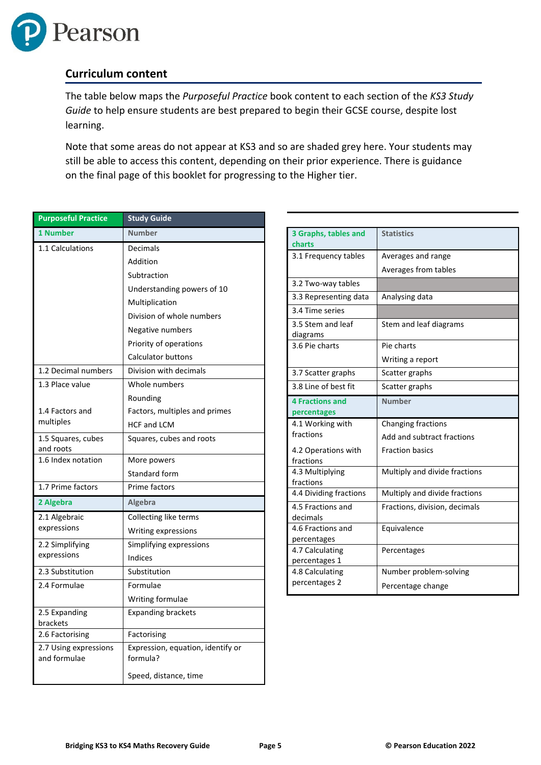

### **Curriculum content**

The table below maps the *Purposeful Practice* book content to each section of the *KS3 Study Guide* to help ensure students are best prepared to begin their GCSE course, despite lost learning.

Note that some areas do not appear at KS3 and so are shaded grey here. Your students may still be able to access this content, depending on their prior experience. There is guidance on the final page of this booklet for progressing to the Higher tier.

| <b>Purposeful Practice</b>            | <b>Study Guide</b>                            |
|---------------------------------------|-----------------------------------------------|
| 1 Number                              | <b>Number</b>                                 |
| 1.1 Calculations                      | Decimals                                      |
|                                       | Addition                                      |
|                                       | Subtraction                                   |
|                                       | Understanding powers of 10                    |
|                                       | Multiplication                                |
|                                       | Division of whole numbers                     |
|                                       | Negative numbers                              |
|                                       | Priority of operations                        |
|                                       | <b>Calculator buttons</b>                     |
| 1.2 Decimal numbers                   | Division with decimals                        |
| 1.3 Place value                       | Whole numbers                                 |
|                                       | Rounding                                      |
| 1.4 Factors and                       | Factors, multiples and primes                 |
| multiples                             | <b>HCF and LCM</b>                            |
| 1.5 Squares, cubes<br>and roots       | Squares, cubes and roots                      |
| 1.6 Index notation                    | More powers                                   |
|                                       | Standard form                                 |
| 1.7 Prime factors                     | Prime factors                                 |
| 2 Algebra                             | Algebra                                       |
| 2.1 Algebraic                         | Collecting like terms                         |
| expressions                           | Writing expressions                           |
| 2.2 Simplifying                       | Simplifying expressions                       |
| expressions                           | Indices                                       |
| 2.3 Substitution                      | Substitution                                  |
| 2.4 Formulae                          | Formulae                                      |
|                                       | Writing formulae                              |
| 2.5 Expanding<br>brackets             | <b>Expanding brackets</b>                     |
| 2.6 Factorising                       | Factorising                                   |
| 2.7 Using expressions<br>and formulae | Expression, equation, identify or<br>formula? |
|                                       | Speed, distance, time                         |

| 3 Graphs, tables and<br>charts        | <b>Statistics</b>             |
|---------------------------------------|-------------------------------|
| 3.1 Frequency tables                  | Averages and range            |
|                                       | Averages from tables          |
| 3.2 Two-way tables                    |                               |
| 3.3 Representing data                 | Analysing data                |
| 3.4 Time series                       |                               |
| 3.5 Stem and leaf<br>diagrams         | Stem and leaf diagrams        |
| 3.6 Pie charts                        | Pie charts                    |
|                                       | Writing a report              |
| 3.7 Scatter graphs                    | Scatter graphs                |
| 3.8 Line of best fit                  | Scatter graphs                |
| <b>4 Fractions and</b><br>percentages | <b>Number</b>                 |
| 4.1 Working with                      | Changing fractions            |
| fractions                             | Add and subtract fractions    |
| 4.2 Operations with<br>fractions      | <b>Fraction basics</b>        |
| 4.3 Multiplying<br>fractions          | Multiply and divide fractions |
| 4.4 Dividing fractions                | Multiply and divide fractions |
| 4.5 Fractions and<br>decimals         | Fractions, division, decimals |
| 4.6 Fractions and<br>percentages      | Equivalence                   |
| 4.7 Calculating<br>percentages 1      | Percentages                   |
| 4.8 Calculating                       | Number problem-solving        |
| percentages 2                         | Percentage change             |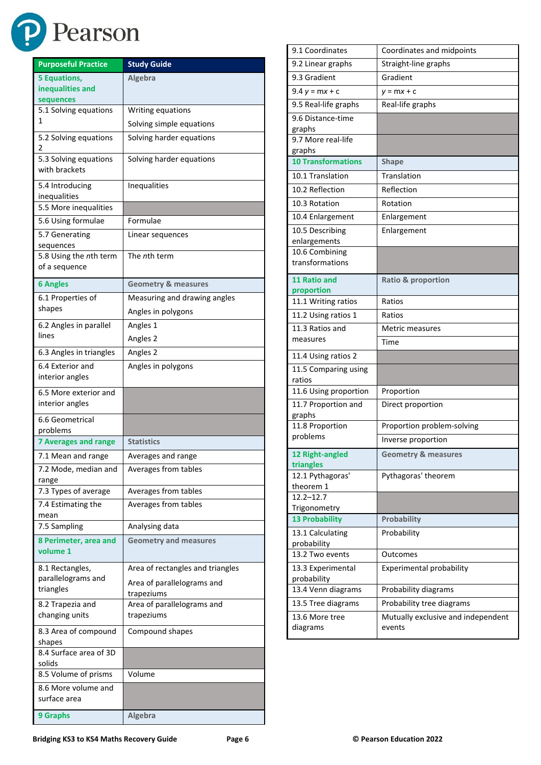

| <b>Purposeful Practice</b>                           | <b>Study Guide</b>                       |
|------------------------------------------------------|------------------------------------------|
| <b>5 Equations,</b><br>inequalities and<br>sequences | Algebra                                  |
| 5.1 Solving equations                                | Writing equations                        |
| 1                                                    | Solving simple equations                 |
| 5.2 Solving equations<br>2                           | Solving harder equations                 |
| 5.3 Solving equations<br>with brackets               | Solving harder equations                 |
| 5.4 Introducing<br>inequalities                      | Inequalities                             |
| 5.5 More inequalities                                |                                          |
| 5.6 Using formulae                                   | Formulae                                 |
| 5.7 Generating<br>sequences                          | Linear sequences                         |
| 5.8 Using the nth term<br>of a sequence              | The nth term                             |
| <b>6 Angles</b>                                      | <b>Geometry &amp; measures</b>           |
| 6.1 Properties of                                    | Measuring and drawing angles             |
| shapes                                               | Angles in polygons                       |
| 6.2 Angles in parallel                               | Angles 1                                 |
| lines                                                | Angles 2                                 |
| 6.3 Angles in triangles                              | Angles 2                                 |
| 6.4 Exterior and<br>interior angles                  | Angles in polygons                       |
| 6.5 More exterior and<br>interior angles             |                                          |
| 6.6 Geometrical<br>problems                          |                                          |
| <b>7 Averages and range</b>                          | <b>Statistics</b>                        |
| 7.1 Mean and range                                   | Averages and range                       |
| 7.2 Mode, median and<br>range                        | Averages from tables                     |
| 7.3 Types of average                                 | Averages from tables                     |
| 7.4 Estimating the<br>mean                           | Averages from tables                     |
| 7.5 Sampling                                         | Analysing data                           |
| 8 Perimeter, area and<br>volume 1                    | <b>Geometry and measures</b>             |
| 8.1 Rectangles,                                      | Area of rectangles and triangles         |
| parallelograms and<br>triangles                      | Area of parallelograms and<br>trapeziums |
| 8.2 Trapezia and                                     | Area of parallelograms and               |
| changing units                                       | trapeziums                               |
| 8.3 Area of compound<br>shapes                       | Compound shapes                          |
| 8.4 Surface area of 3D<br>solids                     |                                          |
| 8.5 Volume of prisms                                 | Volume                                   |
| 8.6 More volume and<br>surface area                  |                                          |
| 9 Graphs                                             | Algebra                                  |

| 9.1 Coordinates                       | Coordinates and midpoints                    |  |
|---------------------------------------|----------------------------------------------|--|
| 9.2 Linear graphs                     | Straight-line graphs                         |  |
| 9.3 Gradient                          | Gradient                                     |  |
| $9.4 y = mx + c$                      | $y = mx + c$                                 |  |
| 9.5 Real-life graphs                  | Real-life graphs                             |  |
| 9.6 Distance-time                     |                                              |  |
| graphs                                |                                              |  |
| 9.7 More real-life<br>graphs          |                                              |  |
| <b>10 Transformations</b>             | <b>Shape</b>                                 |  |
| 10.1 Translation                      | Translation                                  |  |
| 10.2 Reflection                       | Reflection                                   |  |
| 10.3 Rotation                         | Rotation                                     |  |
| 10.4 Enlargement                      | Enlargement                                  |  |
| 10.5 Describing                       | Enlargement                                  |  |
| enlargements                          |                                              |  |
| 10.6 Combining<br>transformations     |                                              |  |
|                                       |                                              |  |
| 11 Ratio and                          | <b>Ratio &amp; proportion</b>                |  |
| proportion<br>11.1 Writing ratios     | Ratios                                       |  |
| 11.2 Using ratios 1                   | Ratios                                       |  |
| 11.3 Ratios and                       | Metric measures                              |  |
| measures                              | Time                                         |  |
| 11.4 Using ratios 2                   |                                              |  |
| 11.5 Comparing using                  |                                              |  |
| ratios                                |                                              |  |
| 11.6 Using proportion                 | Proportion                                   |  |
| 11.7 Proportion and                   | Direct proportion                            |  |
| graphs<br>11.8 Proportion             | Proportion problem-solving                   |  |
| problems                              |                                              |  |
|                                       |                                              |  |
|                                       | Inverse proportion                           |  |
| 12 Right-angled<br>triangles          | <b>Geometry &amp; measures</b>               |  |
| 12.1 Pythagoras'                      | Pythagoras' theorem                          |  |
| theorem 1                             |                                              |  |
| $12.2 - 12.7$                         |                                              |  |
| Trigonometry<br><b>13 Probability</b> | Probability                                  |  |
| 13.1 Calculating                      | Probability                                  |  |
| probability                           |                                              |  |
| 13.2 Two events                       | Outcomes                                     |  |
| 13.3 Experimental                     | <b>Experimental probability</b>              |  |
| probability                           |                                              |  |
| 13.4 Venn diagrams                    | Probability diagrams                         |  |
| 13.5 Tree diagrams                    | Probability tree diagrams                    |  |
| 13.6 More tree<br>diagrams            | Mutually exclusive and independent<br>events |  |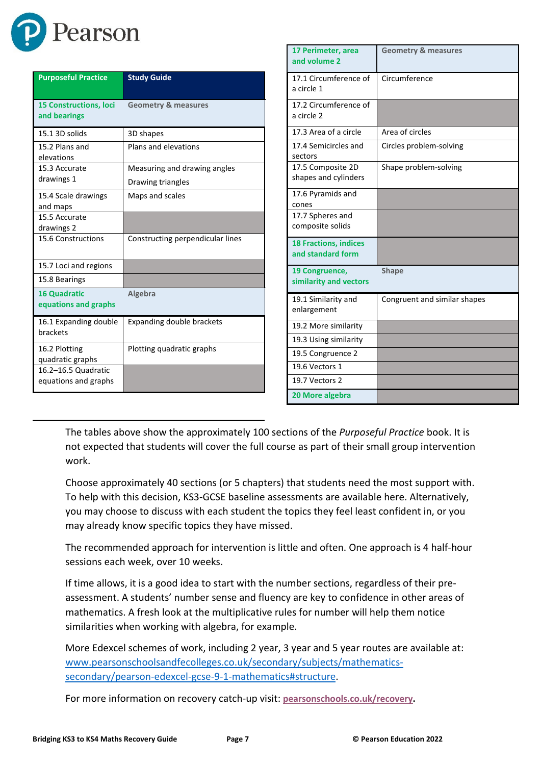

| <b>Purposeful Practice</b>                    | <b>Study Guide</b>               |
|-----------------------------------------------|----------------------------------|
| <b>15 Constructions, loci</b><br>and bearings | <b>Geometry &amp; measures</b>   |
| 15.1 3D solids                                | 3D shapes                        |
| 15.2 Plans and<br>elevations                  | Plans and elevations             |
| 15.3 Accurate                                 | Measuring and drawing angles     |
| drawings 1                                    | Drawing triangles                |
| 15.4 Scale drawings<br>and maps               | Maps and scales                  |
| 15.5 Accurate                                 |                                  |
| drawings 2                                    |                                  |
| 15.6 Constructions                            | Constructing perpendicular lines |
| 15.7 Loci and regions                         |                                  |
| 15.8 Bearings                                 |                                  |
| <b>16 Quadratic</b><br>equations and graphs   | Algebra                          |
| 16.1 Expanding double<br>brackets             | <b>Expanding double brackets</b> |
| 16.2 Plotting                                 | Plotting quadratic graphs        |
| quadratic graphs                              |                                  |
| 16.2-16.5 Quadratic                           |                                  |
| equations and graphs                          |                                  |

| 17 Perimeter, area<br>and volume 2                | <b>Geometry &amp; measures</b> |
|---------------------------------------------------|--------------------------------|
| 17.1 Circumference of<br>a circle 1               | Circumference                  |
| 17.2 Circumference of<br>a circle 2               |                                |
| 17.3 Area of a circle                             | Area of circles                |
| 17.4 Semicircles and<br>sectors                   | Circles problem-solving        |
| 17.5 Composite 2D<br>shapes and cylinders         | Shape problem-solving          |
| 17.6 Pyramids and<br>cones                        |                                |
| 17.7 Spheres and<br>composite solids              |                                |
| <b>18 Fractions, indices</b><br>and standard form |                                |
| 19 Congruence,<br>similarity and vectors          | <b>Shape</b>                   |
| 19.1 Similarity and<br>enlargement                | Congruent and similar shapes   |
| 19.2 More similarity                              |                                |
| 19.3 Using similarity                             |                                |
| 19.5 Congruence 2                                 |                                |
| 19.6 Vectors 1                                    |                                |
| 19.7 Vectors 2                                    |                                |
| 20 More algebra                                   |                                |

The tables above show the approximately 100 sections of the *Purposeful Practice* book. It is not expected that students will cover the full course as part of their small group intervention work.

Choose approximately 40 sections (or 5 chapters) that students need the most support with. To help with this decision, KS3-GCSE baseline assessments are available [here.](https://qualifications.pearson.com/en/news-policy/qualifications/edexcel-gcses/mathematics/support-for-maths-progression-from-key-stage-3-to-gcse-9-1.html) Alternatively, you may choose to discuss with each student the topics they feel least confident in, or you may already know specific topics they have missed.

The recommended approach for intervention is little and often. One approach is 4 half-hour sessions each week, over 10 weeks.

If time allows, it is a good idea to start with the number sections, regardless of their preassessment. A students' number sense and fluency are key to confidence in other areas of mathematics. A fresh look at the multiplicative rules for number will help them notice similarities when working with algebra, for example.

More Edexcel schemes of work, including 2 year, 3 year and 5 year routes are available at: [www.pearsonschoolsandfecolleges.co.uk/secondary/subjects/mathematics](http://www.pearsonschoolsandfecolleges.co.uk/secondary/subjects/mathematics-secondary/pearson-edexcel-gcse-9-1-mathematics#structure)[secondary/pearson-edexcel-gcse-9-1-mathematics#structure.](http://www.pearsonschoolsandfecolleges.co.uk/secondary/subjects/mathematics-secondary/pearson-edexcel-gcse-9-1-mathematics#structure)

For more information on recovery catch-up visit: **[pearsonschools.co.uk/recovery.](https://www.pearsonschoolsandfecolleges.co.uk/secondary/global-pages/secondary-funding-for-education-recovery?utm_source=pearson&utm_medium=print&utm_campaign=GBEDGS0322RECOV&utm_content=recoverypack)**